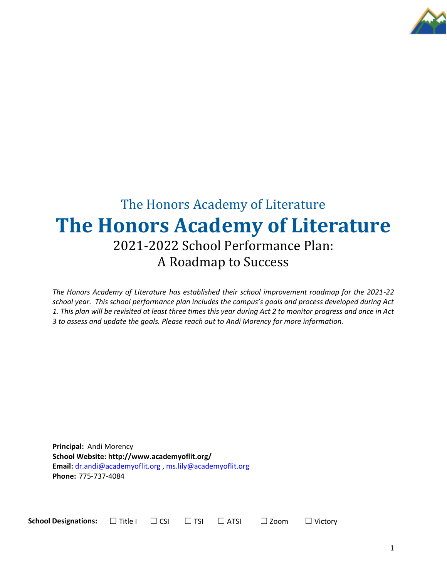

# The Honors Academy of Literature **The Honors Academy of Literature** 2021-2022 School Performance Plan: A Roadmap to Success

*The Honors Academy of Literature has established their school improvement roadmap for the 2021-22 school year. This school performance plan includes the campus's goals and process developed during Act 1. This plan will be revisited at least three times this year during Act 2 to monitor progress and once in Act 3 to assess and update the goals. Please reach out to Andi Morency for more information.*

**Principal:** Andi Morency **School Website: http://www.academyoflit.org/ Email:** [dr.andi@academyoflit.org](mailto:dr.andi@academyoflit.org) [, ms.lily@academyoflit.org](mailto:ms.lily@academyoflit.org) **Phone:** 775-737-4084

**School Designations:**  $□$  Title I  $□$  CSI  $□$  TSI  $□$  ATSI  $□$  Zoom  $□$  Victory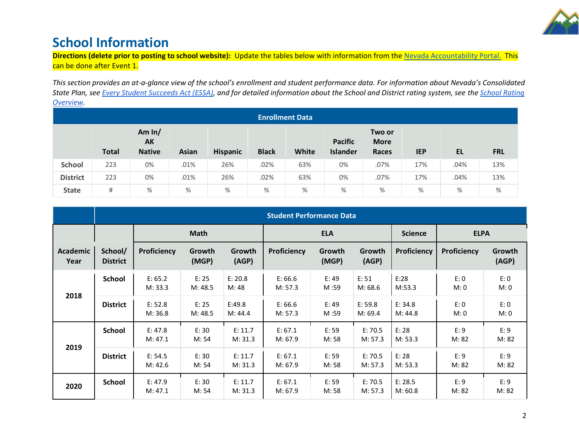

# **School Information**

**Directions (delete prior to posting to school website):** Update the tables below with information from the [Nevada Accountability Portal. T](http://nevadareportcard.nv.gov/di/)his can be done after Event 1.

*This section provides an at-a-glance view of the school's enrollment and student performance data. For information about Nevada's Consolidated State Plan, see [Every Student Succeeds Act \(ESSA\),](https://doe.nv.gov/uploadedFiles/ndedoenvgov/content/Boards_Commissions_Councils/ESSA_Adv_Group/NevadaSubmittedConsolidatedPlanFinal.pdf) and for detailed information about the School and District rating system, see the [School Rating](http://nevadareportcard.nv.gov/DI/MoreDownload?filename=Nevadas%20School%20Rating%20System.pdf)  [Overview.](http://nevadareportcard.nv.gov/DI/MoreDownload?filename=Nevadas%20School%20Rating%20System.pdf)*

| <b>Enrollment Data</b> |              |                                        |              |          |              |       |                                   |                                |            |      |            |
|------------------------|--------------|----------------------------------------|--------------|----------|--------------|-------|-----------------------------------|--------------------------------|------------|------|------------|
|                        | <b>Total</b> | Am $ln/$<br><b>AK</b><br><b>Native</b> | <b>Asian</b> | Hispanic | <b>Black</b> | White | <b>Pacific</b><br><b>Islander</b> | Two or<br><b>More</b><br>Races | <b>IEP</b> | EL   | <b>FRL</b> |
| <b>School</b>          | 223          | 0%                                     | .01%         | 26%      | .02%         | 63%   | 0%                                | .07%                           | 17%        | .04% | 13%        |
| <b>District</b>        | 223          | 0%                                     | .01%         | 26%      | .02%         | 63%   | 0%                                | .07%                           | 17%        | .04% | 13%        |
| <b>State</b>           | #            | %                                      | %            | %        | %            | %     | %                                 | %                              | %          | %    | %          |

|                         | <b>Student Performance Data</b> |                    |                  |                    |                    |                 |                    |                    |               |                 |
|-------------------------|---------------------------------|--------------------|------------------|--------------------|--------------------|-----------------|--------------------|--------------------|---------------|-----------------|
|                         |                                 | <b>Math</b>        |                  |                    | <b>ELA</b>         |                 |                    | <b>Science</b>     | <b>ELPA</b>   |                 |
| <b>Academic</b><br>Year | School/<br><b>District</b>      | <b>Proficiency</b> | Growth<br>(MGP)  | Growth<br>(AGP)    | Proficiency        | Growth<br>(MGP) | Growth<br>(AGP)    | Proficiency        | Proficiency   | Growth<br>(AGP) |
| 2018                    | <b>School</b>                   | E: 65.2<br>M: 33.3 | E: 25<br>M: 48.5 | E: 20.8<br>M: 48   | E: 66.6<br>M: 57.3 | E: 49<br>M:59   | E: 51<br>M: 68.6   | E:28<br>M:53.3     | E: 0<br>M: 0  | E: 0<br>M:0     |
|                         | <b>District</b>                 | E: 52.8<br>M: 36.8 | E: 25<br>M: 48.5 | E:49.8<br>M: 44.4  | E: 66.6<br>M: 57.3 | E: 49<br>M:59   | E: 59.8<br>M: 69.4 | E: 34.8<br>M: 44.8 | E: 0<br>M: 0  | E: 0<br>M:0     |
|                         | <b>School</b>                   | E: 47.8<br>M: 47.1 | E: 30<br>M: 54   | E: 11.7<br>M: 31.3 | E: 67.1<br>M: 67.9 | E: 59<br>M: 58  | E: 70.5<br>M: 57.3 | E: 28<br>M: 53.3   | E: 9<br>M: 82 | E: 9<br>M: 82   |
| 2019                    | <b>District</b>                 | E: 54.5<br>M: 42.6 | E: 30<br>M: 54   | E: 11.7<br>M: 31.3 | E: 67.1<br>M: 67.9 | E: 59<br>M: 58  | E: 70.5<br>M: 57.3 | E: 28<br>M: 53.3   | E: 9<br>M: 82 | E: 9<br>M: 82   |
| 2020                    | <b>School</b>                   | E: 47.9<br>M: 47.1 | E: 30<br>M: 54   | E: 11.7<br>M: 31.3 | E: 67.1<br>M: 67.9 | E: 59<br>M: 58  | E: 70.5<br>M: 57.3 | E: 28.5<br>M: 60.8 | E: 9<br>M: 82 | E:9<br>M: 82    |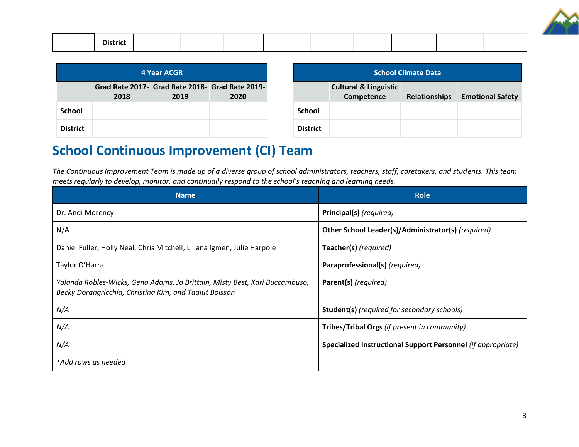| 4 Year ACGR     |      |                                                 |      |  |  |  |
|-----------------|------|-------------------------------------------------|------|--|--|--|
|                 |      | Grad Rate 2017- Grad Rate 2018- Grad Rate 2019- |      |  |  |  |
|                 | 2018 | 2019                                            | 2020 |  |  |  |
| <b>School</b>   |      |                                                 |      |  |  |  |
| <b>District</b> |      |                                                 |      |  |  |  |

| <b>School Climate Data</b> |                                                |                      |                         |  |  |  |
|----------------------------|------------------------------------------------|----------------------|-------------------------|--|--|--|
|                            | <b>Cultural &amp; Linguistic</b><br>Competence | <b>Relationships</b> | <b>Emotional Safety</b> |  |  |  |
| <b>School</b>              |                                                |                      |                         |  |  |  |
| <b>District</b>            |                                                |                      |                         |  |  |  |

# **School Continuous Improvement (CI) Team**

*The Continuous Improvement Team is made up of a diverse group of school administrators, teachers, staff, caretakers, and students. This team meets regularly to develop, monitor, and continually respond to the school's teaching and learning needs.*

| <b>Name</b>                                                                                                                           | <b>Role</b>                                                  |
|---------------------------------------------------------------------------------------------------------------------------------------|--------------------------------------------------------------|
| Dr. Andi Morency                                                                                                                      | Principal(s) (required)                                      |
| N/A                                                                                                                                   | Other School Leader(s)/Administrator(s) (required)           |
| Daniel Fuller, Holly Neal, Chris Mitchell, Liliana Igmen, Julie Harpole                                                               | Teacher(s) (required)                                        |
| Taylor O'Harra                                                                                                                        | Paraprofessional(s) (required)                               |
| Yolanda Robles-Wicks, Gena Adams, Jo Brittain, Misty Best, Kari Buccambuso,<br>Becky Dorangricchia, Christina Kim, and Taalut Boisson | Parent(s) (required)                                         |
| N/A                                                                                                                                   | <b>Student(s)</b> (required for secondary schools)           |
| N/A                                                                                                                                   | Tribes/Tribal Orgs (if present in community)                 |
| N/A                                                                                                                                   | Specialized Instructional Support Personnel (if appropriate) |
| *Add rows as needed                                                                                                                   |                                                              |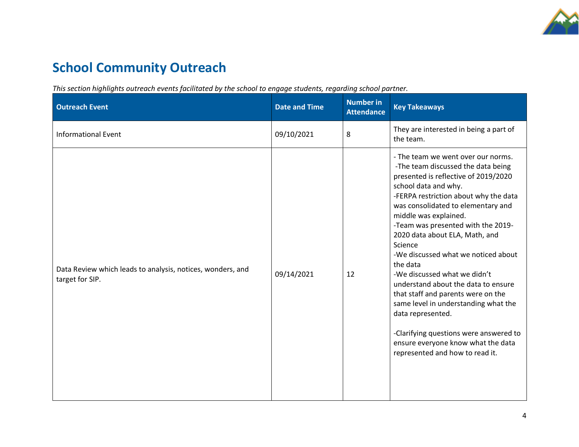

# **School Community Outreach**

*This section highlights outreach events facilitated by the school to engage students, regarding school partner.* 

| <b>Outreach Event</b>                                                         | <b>Date and Time</b> | <b>Number in</b><br><b>Attendance</b> | <b>Key Takeaways</b>                                                                                                                                                                                                                                                                                                                                                                                                                                                                                                                                                                                                                                                                |
|-------------------------------------------------------------------------------|----------------------|---------------------------------------|-------------------------------------------------------------------------------------------------------------------------------------------------------------------------------------------------------------------------------------------------------------------------------------------------------------------------------------------------------------------------------------------------------------------------------------------------------------------------------------------------------------------------------------------------------------------------------------------------------------------------------------------------------------------------------------|
| <b>Informational Event</b>                                                    | 09/10/2021           | 8                                     | They are interested in being a part of<br>the team.                                                                                                                                                                                                                                                                                                                                                                                                                                                                                                                                                                                                                                 |
| Data Review which leads to analysis, notices, wonders, and<br>target for SIP. | 09/14/2021           | 12                                    | - The team we went over our norms.<br>-The team discussed the data being<br>presented is reflective of 2019/2020<br>school data and why.<br>-FERPA restriction about why the data<br>was consolidated to elementary and<br>middle was explained.<br>-Team was presented with the 2019-<br>2020 data about ELA, Math, and<br>Science<br>-We discussed what we noticed about<br>the data<br>-We discussed what we didn't<br>understand about the data to ensure<br>that staff and parents were on the<br>same level in understanding what the<br>data represented.<br>-Clarifying questions were answered to<br>ensure everyone know what the data<br>represented and how to read it. |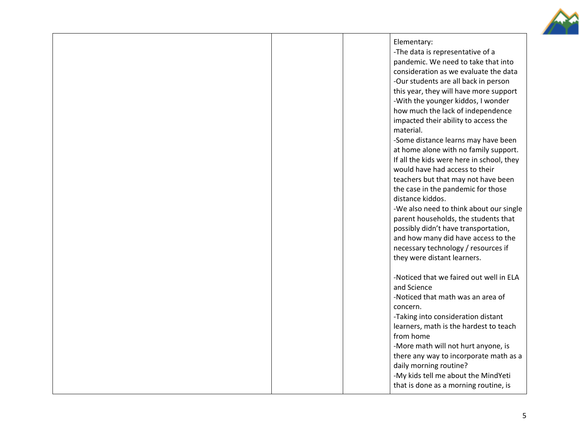

### Elementary:

| -The data is representative of a          |
|-------------------------------------------|
| pandemic. We need to take that into       |
| consideration as we evaluate the data     |
| -Our students are all back in person      |
| this year, they will have more support    |
| -With the younger kiddos, I wonder        |
| how much the lack of independence         |
| impacted their ability to access the      |
| material.                                 |
| -Some distance learns may have been       |
| at home alone with no family support.     |
| If all the kids were here in school, they |
| would have had access to their            |
| teachers but that may not have been       |
| the case in the pandemic for those        |
| distance kiddos.                          |
| -We also need to think about our single   |
| parent households, the students that      |
| possibly didn't have transportation,      |

and how many did have access to the necessary technology / resources if they were distant learners.

-Noticed that we faired out well in ELA and Science -Noticed that math was an area of concern. -Taking into consideration distant learners, math is the hardest to teach from home -More math will not hurt anyone, is

there any way to incorporate math as a daily morning routine? -My kids tell me about the MindYeti that is done as a morning routine, is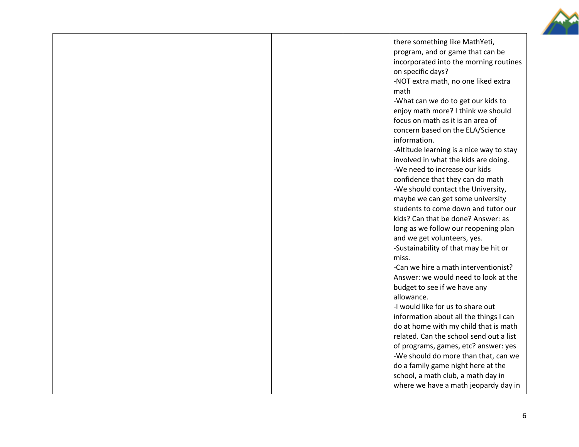

|  | there something like MathYeti,<br>program, and or game that can be<br>incorporated into the morning routines<br>on specific days?<br>-NOT extra math, no one liked extra<br>math<br>-What can we do to get our kids to<br>enjoy math more? I think we should<br>focus on math as it is an area of<br>concern based on the ELA/Science<br>information.<br>-Altitude learning is a nice way to stay<br>involved in what the kids are doing.<br>-We need to increase our kids<br>confidence that they can do math<br>-We should contact the University,<br>maybe we can get some university<br>students to come down and tutor our<br>kids? Can that be done? Answer: as<br>long as we follow our reopening plan<br>and we get volunteers, yes.<br>-Sustainability of that may be hit or<br>miss.<br>-Can we hire a math interventionist?<br>Answer: we would need to look at the<br>budget to see if we have any<br>allowance.<br>-I would like for us to share out<br>information about all the things I can<br>do at home with my child that is math<br>related. Can the school send out a list<br>of programs, games, etc? answer: yes<br>-We should do more than that, can we<br>do a family game night here at the |
|--|-----------------------------------------------------------------------------------------------------------------------------------------------------------------------------------------------------------------------------------------------------------------------------------------------------------------------------------------------------------------------------------------------------------------------------------------------------------------------------------------------------------------------------------------------------------------------------------------------------------------------------------------------------------------------------------------------------------------------------------------------------------------------------------------------------------------------------------------------------------------------------------------------------------------------------------------------------------------------------------------------------------------------------------------------------------------------------------------------------------------------------------------------------------------------------------------------------------------------|
|  | school, a math club, a math day in<br>where we have a math jeopardy day in                                                                                                                                                                                                                                                                                                                                                                                                                                                                                                                                                                                                                                                                                                                                                                                                                                                                                                                                                                                                                                                                                                                                            |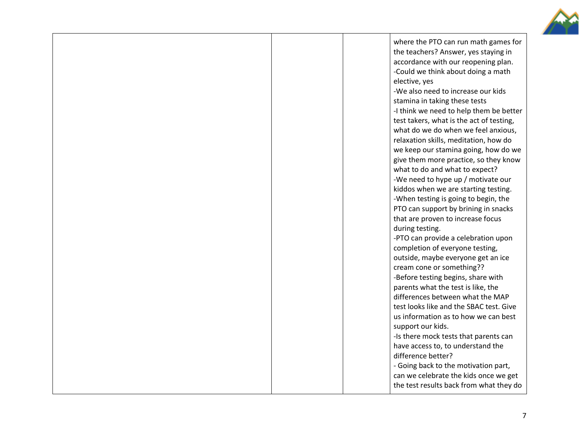

|  | where the PTO can run math games for<br>the teachers? Answer, yes staying in<br>accordance with our reopening plan.<br>-Could we think about doing a math<br>elective, yes<br>-We also need to increase our kids<br>stamina in taking these tests<br>-I think we need to help them be better<br>test takers, what is the act of testing,<br>what do we do when we feel anxious,<br>relaxation skills, meditation, how do<br>we keep our stamina going, how do we<br>give them more practice, so they know<br>what to do and what to expect?<br>-We need to hype up / motivate our<br>kiddos when we are starting testing.<br>-When testing is going to begin, the<br>PTO can support by brining in snacks<br>that are proven to increase focus<br>during testing.<br>-PTO can provide a celebration upon<br>completion of everyone testing,<br>outside, maybe everyone get an ice<br>cream cone or something??<br>-Before testing begins, share with<br>parents what the test is like, the<br>differences between what the MAP<br>test looks like and the SBAC test. Give<br>us information as to how we can best<br>support our kids.<br>-Is there mock tests that parents can<br>have access to, to understand the<br>difference better?<br>- Going back to the motivation part, |
|--|------------------------------------------------------------------------------------------------------------------------------------------------------------------------------------------------------------------------------------------------------------------------------------------------------------------------------------------------------------------------------------------------------------------------------------------------------------------------------------------------------------------------------------------------------------------------------------------------------------------------------------------------------------------------------------------------------------------------------------------------------------------------------------------------------------------------------------------------------------------------------------------------------------------------------------------------------------------------------------------------------------------------------------------------------------------------------------------------------------------------------------------------------------------------------------------------------------------------------------------------------------------------------------|
|  | can we celebrate the kids once we get<br>the test results back from what they do                                                                                                                                                                                                                                                                                                                                                                                                                                                                                                                                                                                                                                                                                                                                                                                                                                                                                                                                                                                                                                                                                                                                                                                                   |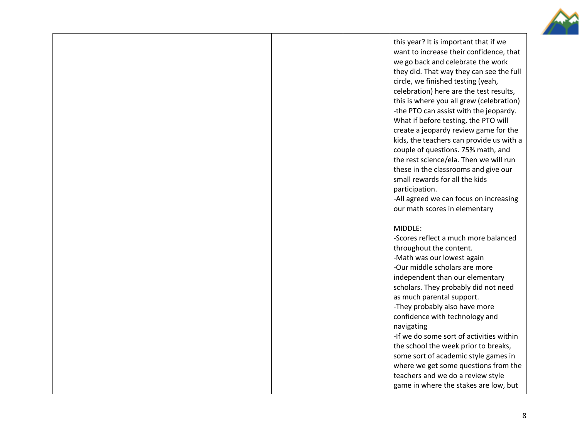

|  | this year? It is important that if we<br>want to increase their confidence, that<br>we go back and celebrate the work<br>they did. That way they can see the full<br>circle, we finished testing (yeah,<br>celebration) here are the test results,<br>this is where you all grew (celebration)<br>-the PTO can assist with the jeopardy.<br>What if before testing, the PTO will<br>create a jeopardy review game for the<br>kids, the teachers can provide us with a<br>couple of questions. 75% math, and<br>the rest science/ela. Then we will run<br>these in the classrooms and give our<br>small rewards for all the kids<br>participation.<br>-All agreed we can focus on increasing<br>our math scores in elementary |
|--|------------------------------------------------------------------------------------------------------------------------------------------------------------------------------------------------------------------------------------------------------------------------------------------------------------------------------------------------------------------------------------------------------------------------------------------------------------------------------------------------------------------------------------------------------------------------------------------------------------------------------------------------------------------------------------------------------------------------------|
|  | MIDDLE:<br>-Scores reflect a much more balanced                                                                                                                                                                                                                                                                                                                                                                                                                                                                                                                                                                                                                                                                              |
|  | throughout the content.<br>-Math was our lowest again                                                                                                                                                                                                                                                                                                                                                                                                                                                                                                                                                                                                                                                                        |
|  | -Our middle scholars are more                                                                                                                                                                                                                                                                                                                                                                                                                                                                                                                                                                                                                                                                                                |
|  | independent than our elementary<br>scholars. They probably did not need                                                                                                                                                                                                                                                                                                                                                                                                                                                                                                                                                                                                                                                      |
|  | as much parental support.                                                                                                                                                                                                                                                                                                                                                                                                                                                                                                                                                                                                                                                                                                    |
|  | -They probably also have more<br>confidence with technology and                                                                                                                                                                                                                                                                                                                                                                                                                                                                                                                                                                                                                                                              |
|  | navigating<br>-If we do some sort of activities within                                                                                                                                                                                                                                                                                                                                                                                                                                                                                                                                                                                                                                                                       |
|  | the school the week prior to breaks,                                                                                                                                                                                                                                                                                                                                                                                                                                                                                                                                                                                                                                                                                         |
|  | some sort of academic style games in<br>where we get some questions from the<br>teachers and we do a review style                                                                                                                                                                                                                                                                                                                                                                                                                                                                                                                                                                                                            |
|  | game in where the stakes are low, but                                                                                                                                                                                                                                                                                                                                                                                                                                                                                                                                                                                                                                                                                        |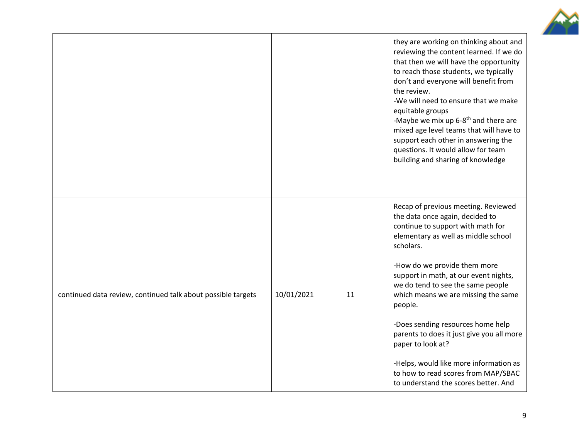

|                                                              |            |    | they are working on thinking about and<br>reviewing the content learned. If we do<br>that then we will have the opportunity<br>to reach those students, we typically<br>don't and everyone will benefit from<br>the review.<br>-We will need to ensure that we make<br>equitable groups<br>-Maybe we mix up 6-8 <sup>th</sup> and there are<br>mixed age level teams that will have to<br>support each other in answering the<br>questions. It would allow for team<br>building and sharing of knowledge |
|--------------------------------------------------------------|------------|----|----------------------------------------------------------------------------------------------------------------------------------------------------------------------------------------------------------------------------------------------------------------------------------------------------------------------------------------------------------------------------------------------------------------------------------------------------------------------------------------------------------|
| continued data review, continued talk about possible targets | 10/01/2021 | 11 | Recap of previous meeting. Reviewed<br>the data once again, decided to<br>continue to support with math for<br>elementary as well as middle school<br>scholars.<br>-How do we provide them more<br>support in math, at our event nights,<br>we do tend to see the same people<br>which means we are missing the same<br>people.<br>-Does sending resources home help<br>parents to does it just give you all more                                                                                        |
|                                                              |            |    | paper to look at?<br>-Helps, would like more information as<br>to how to read scores from MAP/SBAC<br>to understand the scores better. And                                                                                                                                                                                                                                                                                                                                                               |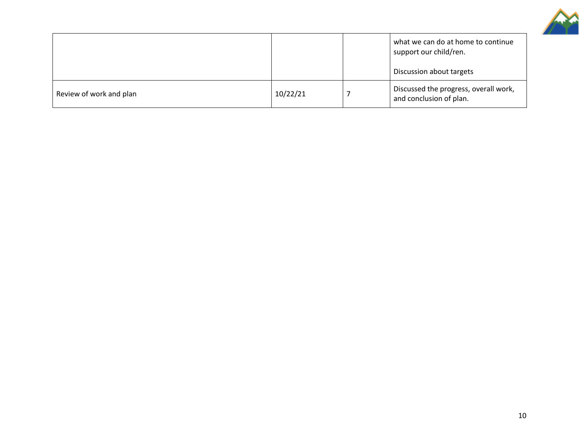

|                         |          | what we can do at home to continue<br>support our child/ren.     |
|-------------------------|----------|------------------------------------------------------------------|
|                         |          | Discussion about targets                                         |
| Review of work and plan | 10/22/21 | Discussed the progress, overall work,<br>and conclusion of plan. |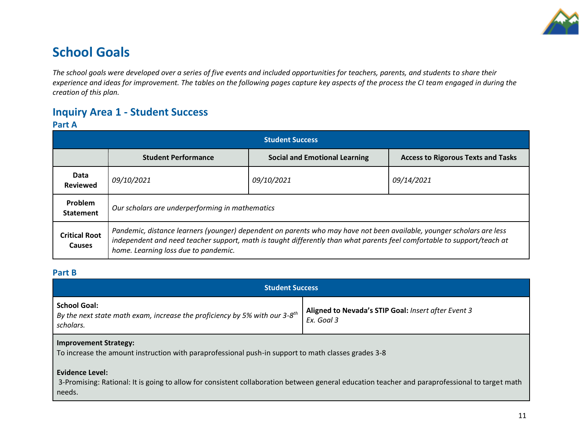

# **School Goals**

*The school goals were developed over a series of five events and included opportunities for teachers, parents, and students to share their experience and ideas for improvement. The tables on the following pages capture key aspects of the process the CI team engaged in during the creation of this plan.* 

## **Inquiry Area 1 - Student Success**

### **Part A**

| <b>Student Success</b>                |                                                                                                                                                                                                                                                                                          |                                      |                                           |
|---------------------------------------|------------------------------------------------------------------------------------------------------------------------------------------------------------------------------------------------------------------------------------------------------------------------------------------|--------------------------------------|-------------------------------------------|
|                                       | <b>Student Performance</b>                                                                                                                                                                                                                                                               | <b>Social and Emotional Learning</b> | <b>Access to Rigorous Texts and Tasks</b> |
| Data<br><b>Reviewed</b>               | 09/10/2021                                                                                                                                                                                                                                                                               | 09/10/2021                           | 09/14/2021                                |
| Problem<br><b>Statement</b>           | Our scholars are underperforming in mathematics                                                                                                                                                                                                                                          |                                      |                                           |
| <b>Critical Root</b><br><b>Causes</b> | Pandemic, distance learners (younger) dependent on parents who may have not been available, younger scholars are less<br>independent and need teacher support, math is taught differently than what parents feel comfortable to support/teach at<br>home. Learning loss due to pandemic. |                                      |                                           |

### **Part B**

| <b>Student Success</b>                                                                                                            |                                                                   |  |  |
|-----------------------------------------------------------------------------------------------------------------------------------|-------------------------------------------------------------------|--|--|
| <b>School Goal:</b><br>$\mid$ By the next state math exam, increase the proficiency by 5% with our 3-8 <sup>th</sup><br>scholars. | Aligned to Nevada's STIP Goal: Insert after Event 3<br>Ex. Goal 3 |  |  |
| Improvement Strategy:                                                                                                             |                                                                   |  |  |

To increase the amount instruction with paraprofessional push-in support to math classes grades 3-8

### **Evidence Level:**

3-Promising: Rational: It is going to allow for consistent collaboration between general education teacher and paraprofessional to target math needs.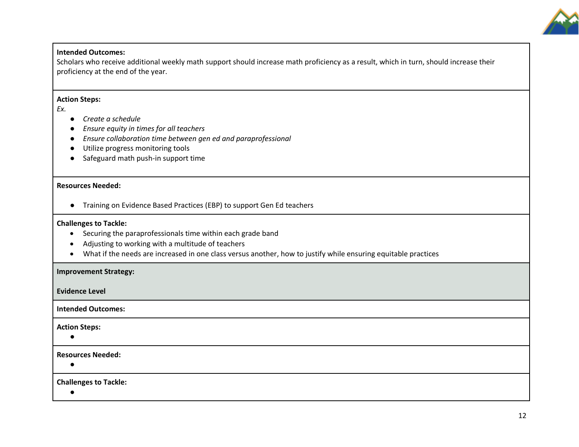

### **Intended Outcomes:**

Scholars who receive additional weekly math support should increase math proficiency as a result, which in turn, should increase their proficiency at the end of the year.

### **Action Steps:**

*Ex.*

- *Create a schedule*
- *Ensure equity in times for all teachers*
- *Ensure collaboration time between gen ed and paraprofessional*
- Utilize progress monitoring tools
- Safeguard math push-in support time

#### **Resources Needed:**

● Training on Evidence Based Practices (EBP) to support Gen Ed teachers

### **Challenges to Tackle:**

- Securing the paraprofessionals time within each grade band
- Adjusting to working with a multitude of teachers
- What if the needs are increased in one class versus another, how to justify while ensuring equitable practices

### **Improvement Strategy:**

**Evidence Level**

**Action Steps:** 

 $\bullet$ 

**Resources Needed:** 

●

**Challenges to Tackle:** 

 $\bullet$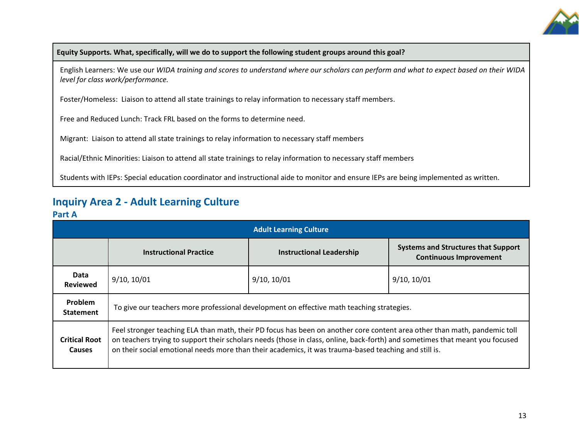

**Equity Supports. What, specifically, will we do to support the following student groups around this goal?**

English Learners: We use our *WIDA training and scores to understand where our scholars can perform and what to expect based on their WIDA level for class work/performance.* 

Foster/Homeless: Liaison to attend all state trainings to relay information to necessary staff members.

Free and Reduced Lunch: Track FRL based on the forms to determine need.

Migrant: Liaison to attend all state trainings to relay information to necessary staff members

Racial/Ethnic Minorities: Liaison to attend all state trainings to relay information to necessary staff members

Students with IEPs: Special education coordinator and instructional aide to monitor and ensure IEPs are being implemented as written.

## **Inquiry Area 2 - Adult Learning Culture Part A**

## **Adult Learning Culture Instructional Practice Instructional Leadership Systems and Structures that Support Continuous Improvement Data Reviewed** 9/10, 10/01 9/10, 10/01 9/10, 10/01 9/10, 10/01 **Problem Statement** To give our teachers more professional development on effective math teaching strategies. **Critical Root Causes** Feel stronger teaching ELA than math, their PD focus has been on another core content area other than math, pandemic toll on teachers trying to support their scholars needs (those in class, online, back-forth) and sometimes that meant you focused on their social emotional needs more than their academics, it was trauma-based teaching and still is.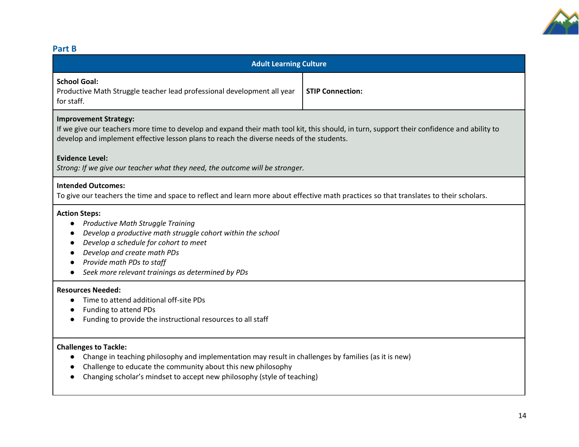

## **Part B**

| <b>Adult Learning Culture</b>                                                                                                                                                                                                                                                                                             |                         |  |  |
|---------------------------------------------------------------------------------------------------------------------------------------------------------------------------------------------------------------------------------------------------------------------------------------------------------------------------|-------------------------|--|--|
| <b>School Goal:</b><br>Productive Math Struggle teacher lead professional development all year<br>for staff.                                                                                                                                                                                                              | <b>STIP Connection:</b> |  |  |
| <b>Improvement Strategy:</b><br>If we give our teachers more time to develop and expand their math tool kit, this should, in turn, support their confidence and ability to<br>develop and implement effective lesson plans to reach the diverse needs of the students.                                                    |                         |  |  |
| <b>Evidence Level:</b><br>Strong: If we give our teacher what they need, the outcome will be stronger.                                                                                                                                                                                                                    |                         |  |  |
| <b>Intended Outcomes:</b><br>To give our teachers the time and space to reflect and learn more about effective math practices so that translates to their scholars.                                                                                                                                                       |                         |  |  |
| <b>Action Steps:</b><br>Productive Math Struggle Training<br>$\bullet$<br>Develop a productive math struggle cohort within the school<br>$\bullet$<br>Develop a schedule for cohort to meet<br>$\bullet$<br>Develop and create math PDs<br>Provide math PDs to staff<br>Seek more relevant trainings as determined by PDs |                         |  |  |
| <b>Resources Needed:</b><br>Time to attend additional off-site PDs<br>$\bullet$<br>Funding to attend PDs<br>Funding to provide the instructional resources to all staff<br>$\bullet$                                                                                                                                      |                         |  |  |
| <b>Challenges to Tackle:</b><br>Change in teaching philosophy and implementation may result in challenges by families (as it is new)<br>Challenge to educate the community about this new philosophy<br>$\bullet$                                                                                                         |                         |  |  |

● Changing scholar's mindset to accept new philosophy (style of teaching)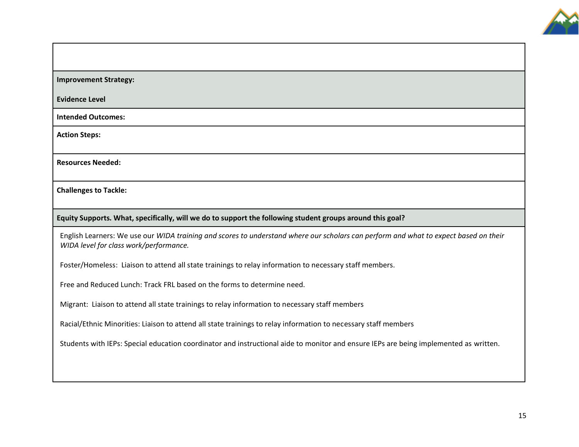

### **Improvement Strategy:**

**Evidence Level**

**Intended Outcomes:** 

**Action Steps:** 

**Resources Needed:** 

**Challenges to Tackle:** 

**Equity Supports. What, specifically, will we do to support the following student groups around this goal?**

English Learners: We use our *WIDA training and scores to understand where our scholars can perform and what to expect based on their WIDA level for class work/performance.* 

Foster/Homeless: Liaison to attend all state trainings to relay information to necessary staff members.

Free and Reduced Lunch: Track FRL based on the forms to determine need.

Migrant: Liaison to attend all state trainings to relay information to necessary staff members

Racial/Ethnic Minorities: Liaison to attend all state trainings to relay information to necessary staff members

Students with IEPs: Special education coordinator and instructional aide to monitor and ensure IEPs are being implemented as written.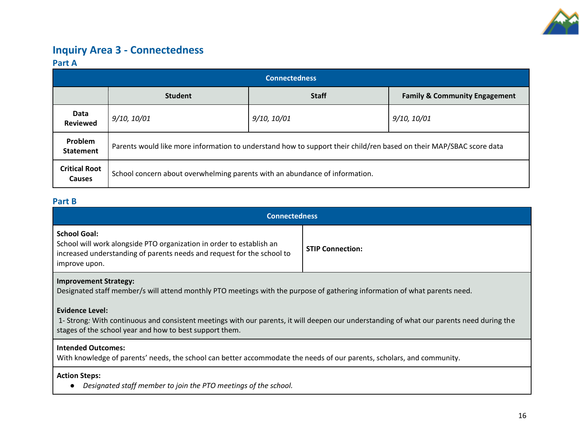

## **Inquiry Area 3 - Connectedness**

### **Part A**

| <b>Connectedness</b>                  |                                                                                                                     |              |                                          |  |
|---------------------------------------|---------------------------------------------------------------------------------------------------------------------|--------------|------------------------------------------|--|
|                                       | <b>Student</b>                                                                                                      | <b>Staff</b> | <b>Family &amp; Community Engagement</b> |  |
| <b>Data</b><br><b>Reviewed</b>        | 9/10, 10/01                                                                                                         | 9/10, 10/01  | 9/10, 10/01                              |  |
| Problem<br><b>Statement</b>           | Parents would like more information to understand how to support their child/ren based on their MAP/SBAC score data |              |                                          |  |
| <b>Critical Root</b><br><b>Causes</b> | School concern about overwhelming parents with an abundance of information.                                         |              |                                          |  |

### **Part B**

| <b>Connectedness</b>                                                                                                                                                                   |                         |  |  |
|----------------------------------------------------------------------------------------------------------------------------------------------------------------------------------------|-------------------------|--|--|
| <b>School Goal:</b><br>School will work alongside PTO organization in order to establish an<br>increased understanding of parents needs and request for the school to<br>improve upon. | <b>STIP Connection:</b> |  |  |

### **Improvement Strategy:**

Designated staff member/s will attend monthly PTO meetings with the purpose of gathering information of what parents need.

#### **Evidence Level:**

1- Strong*:* With continuous and consistent meetings with our parents, it will deepen our understanding of what our parents need during the stages of the school year and how to best support them.

### **Intended Outcomes:**

With knowledge of parents' needs, the school can better accommodate the needs of our parents, scholars, and community.

### **Action Steps:**

● *Designated staff member to join the PTO meetings of the school.*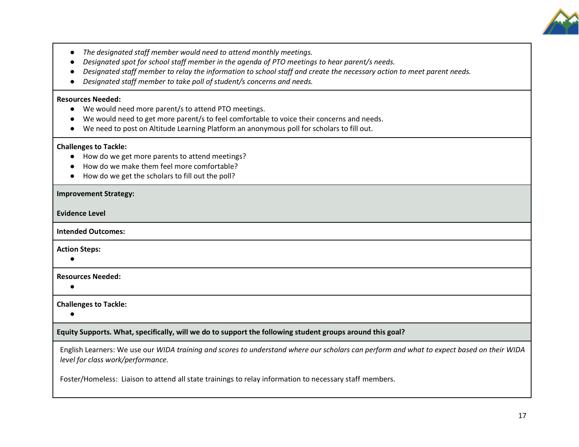

- *The designated staff member would need to attend monthly meetings.*
- *Designated spot for school staff member in the agenda of PTO meetings to hear parent/s needs.*
- *Designated staff member to relay the information to school staff and create the necessary action to meet parent needs.*
- *Designated staff member to take poll of student/s concerns and needs.*

#### **Resources Needed:**

- We would need more parent/s to attend PTO meetings.
- We would need to get more parent/s to feel comfortable to voice their concerns and needs.
- We need to post on Altitude Learning Platform an anonymous poll for scholars to fill out.

### **Challenges to Tackle:**

- How do we get more parents to attend meetings?
- How do we make them feel more comfortable?
- How do we get the scholars to fill out the poll?

### **Improvement Strategy:**

**Evidence Level**

**Intended Outcomes:** 

**Action Steps:** 

 $\bullet$ 

**Resources Needed:** 

●

**Challenges to Tackle:** 

 $\bullet$ 

**Equity Supports. What, specifically, will we do to support the following student groups around this goal?**

English Learners: We use our *WIDA training and scores to understand where our scholars can perform and what to expect based on their WIDA level for class work/performance.* 

Foster/Homeless: Liaison to attend all state trainings to relay information to necessary staff members.